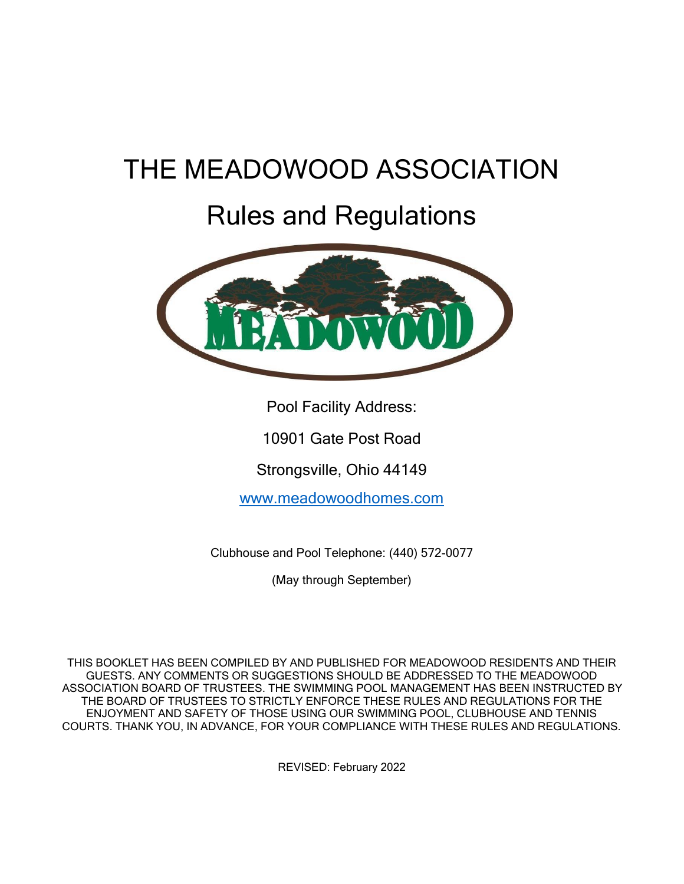# THE MEADOWOOD ASSOCIATION

# Rules and Regulations



Pool Facility Address:

10901 Gate Post Road

Strongsville, Ohio 44149

<www.meadowoodhomes.com>

Clubhouse and Pool Telephone: (440) 572-0077

(May through September)

THIS BOOKLET HAS BEEN COMPILED BY AND PUBLISHED FOR MEADOWOOD RESIDENTS AND THEIR GUESTS. ANY COMMENTS OR SUGGESTIONS SHOULD BE ADDRESSED TO THE MEADOWOOD ASSOCIATION BOARD OF TRUSTEES. THE SWIMMING POOL MANAGEMENT HAS BEEN INSTRUCTED BY THE BOARD OF TRUSTEES TO STRICTLY ENFORCE THESE RULES AND REGULATIONS FOR THE ENJOYMENT AND SAFETY OF THOSE USING OUR SWIMMING POOL, CLUBHOUSE AND TENNIS COURTS. THANK YOU, IN ADVANCE, FOR YOUR COMPLIANCE WITH THESE RULES AND REGULATIONS.

REVISED: February 2022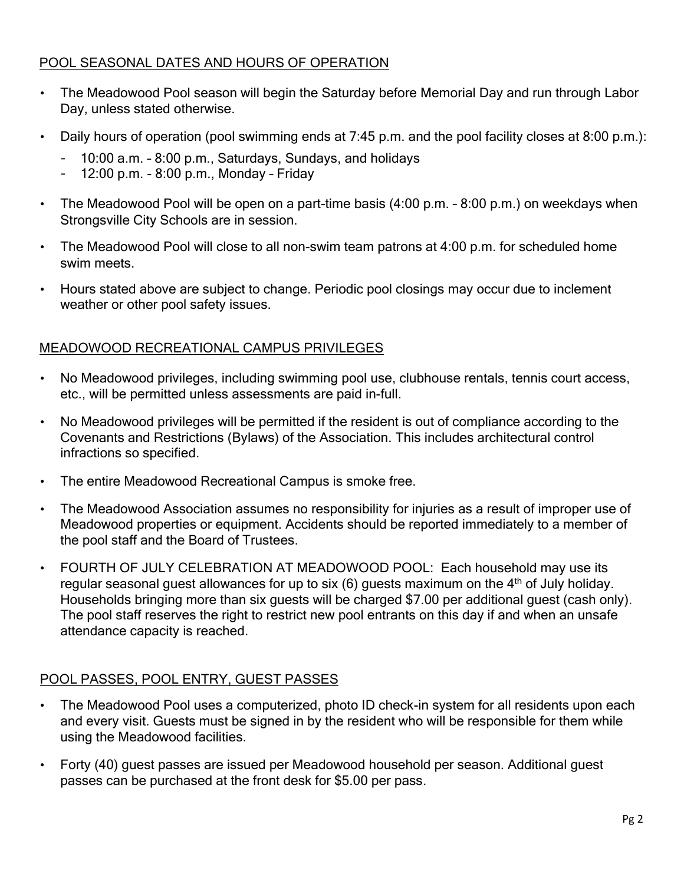## POOL SEASONAL DATES AND HOURS OF OPERATION

- The Meadowood Pool season will begin the Saturday before Memorial Day and run through Labor Day, unless stated otherwise.
- Daily hours of operation (pool swimming ends at 7:45 p.m. and the pool facility closes at 8:00 p.m.):
	- 10:00 a.m. 8:00 p.m., Saturdays, Sundays, and holidays
	- 12:00 p.m. 8:00 p.m., Monday Friday
- The Meadowood Pool will be open on a part-time basis (4:00 p.m. 8:00 p.m.) on weekdays when Strongsville City Schools are in session.
- The Meadowood Pool will close to all non-swim team patrons at 4:00 p.m. for scheduled home swim meets.
- Hours stated above are subject to change. Periodic pool closings may occur due to inclement weather or other pool safety issues.

#### MEADOWOOD RECREATIONAL CAMPUS PRIVILEGES

- No Meadowood privileges, including swimming pool use, clubhouse rentals, tennis court access, etc., will be permitted unless assessments are paid in-full.
- No Meadowood privileges will be permitted if the resident is out of compliance according to the Covenants and Restrictions (Bylaws) of the Association. This includes architectural control infractions so specified.
- The entire Meadowood Recreational Campus is smoke free.
- The Meadowood Association assumes no responsibility for injuries as a result of improper use of Meadowood properties or equipment. Accidents should be reported immediately to a member of the pool staff and the Board of Trustees.
- FOURTH OF JULY CELEBRATION AT MEADOWOOD POOL: Each household may use its regular seasonal guest allowances for up to six  $(6)$  guests maximum on the  $4<sup>th</sup>$  of July holiday. Households bringing more than six guests will be charged \$7.00 per additional guest (cash only). The pool staff reserves the right to restrict new pool entrants on this day if and when an unsafe attendance capacity is reached.

#### POOL PASSES, POOL ENTRY, GUEST PASSES

- The Meadowood Pool uses a computerized, photo ID check-in system for all residents upon each and every visit. Guests must be signed in by the resident who will be responsible for them while using the Meadowood facilities.
- Forty (40) guest passes are issued per Meadowood household per season. Additional guest passes can be purchased at the front desk for \$5.00 per pass.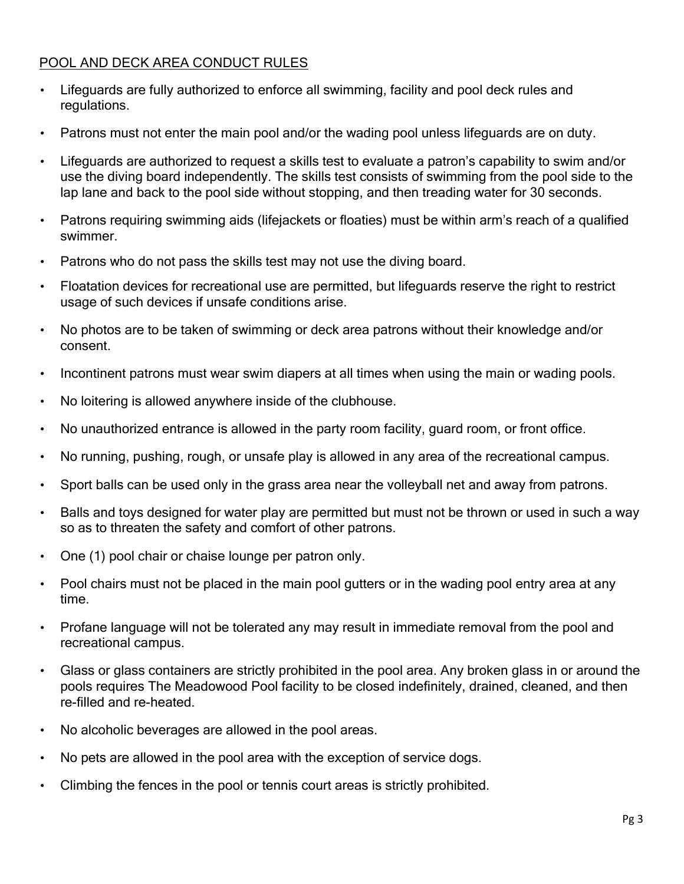## POOL AND DECK AREA CONDUCT RULES

- Lifeguards are fully authorized to enforce all swimming, facility and pool deck rules and regulations.
- Patrons must not enter the main pool and/or the wading pool unless lifeguards are on duty.
- Lifeguards are authorized to request a skills test to evaluate a patron's capability to swim and/or use the diving board independently. The skills test consists of swimming from the pool side to the lap lane and back to the pool side without stopping, and then treading water for 30 seconds.
- Patrons requiring swimming aids (lifejackets or floaties) must be within arm's reach of a qualified swimmer.
- Patrons who do not pass the skills test may not use the diving board.
- Floatation devices for recreational use are permitted, but lifeguards reserve the right to restrict usage of such devices if unsafe conditions arise.
- No photos are to be taken of swimming or deck area patrons without their knowledge and/or consent.
- Incontinent patrons must wear swim diapers at all times when using the main or wading pools.
- No loitering is allowed anywhere inside of the clubhouse.
- No unauthorized entrance is allowed in the party room facility, guard room, or front office.
- No running, pushing, rough, or unsafe play is allowed in any area of the recreational campus.
- Sport balls can be used only in the grass area near the volleyball net and away from patrons.
- Balls and toys designed for water play are permitted but must not be thrown or used in such a way so as to threaten the safety and comfort of other patrons.
- One (1) pool chair or chaise lounge per patron only.
- Pool chairs must not be placed in the main pool gutters or in the wading pool entry area at any time.
- Profane language will not be tolerated any may result in immediate removal from the pool and recreational campus.
- Glass or glass containers are strictly prohibited in the pool area. Any broken glass in or around the pools requires The Meadowood Pool facility to be closed indefinitely, drained, cleaned, and then re-filled and re-heated.
- No alcoholic beverages are allowed in the pool areas.
- No pets are allowed in the pool area with the exception of service dogs.
- Climbing the fences in the pool or tennis court areas is strictly prohibited.